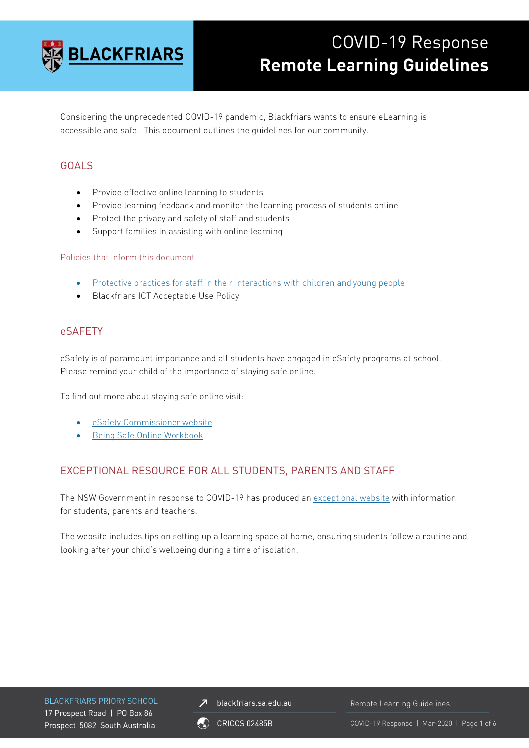

# COVID-19 Response **Remote Learning Guidelines**

Considering the unprecedented COVID-19 pandemic, Blackfriars wants to ensure eLearning is accessible and safe. This document outlines the guidelines for our community.

# GOALS

- Provide effective online learning to students
- Provide learning feedback and monitor the learning process of students online
- Protect the privacy and safety of staff and students
- Support families in assisting with online learning

#### Policies that inform this document

- [Protective practices for staff in their interactions with children and young people](https://www.education.sa.gov.au/sites/default/files/protective_practices_for_staff_in_their_interactions_with_children_and_young_people.pdf?acsf_files_redirect)
- Blackfriars ICT Acceptable Use Policy

#### eSAFETY

eSafety is of paramount importance and all students have engaged in eSafety programs at school. Please remind your child of the importance of staying safe online.

To find out more about staying safe online visit:

- [eSafety Commissioner website](http://www.esafety.gov.au/)
- [Being Safe Online Workbook](https://www.esafety.gov.au/sites/default/files/2020-02/Easy%20English-Being%20Safe%20Online.pdf)

# EXCEPTIONAL RESOURCE FOR ALL STUDENTS, PARENTS AND STAFF

The NSW Government in response to COVID-19 has produced an [exceptional website](https://education.nsw.gov.au/teaching-and-learning/curriculum/learning-from-home) with information for students, parents and teachers.

The website includes tips on setting up a learning space at home, ensuring students follow a routine and looking after your child's wellbeing during a time of isolation.

**BLACKFRIARS PRIORY SCHOOL** 17 Prospect Road | PO Box 86 Prospect 5082 South Australia

blackfriars.sa.edu.au  $\overline{\mathbf{z}}$ 

Remote Learning Guidelines

**CRICOS 02485B** 

COVID-19 Response | Mar-2020 | Page 1 of 6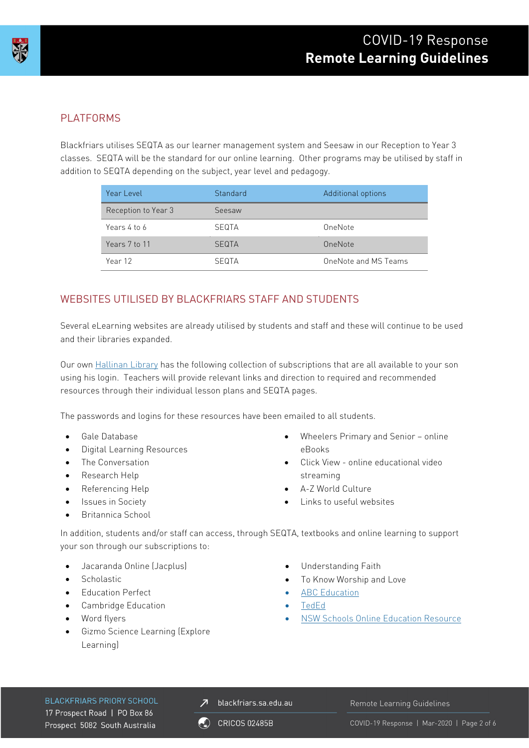

# PLATFORMS

Blackfriars utilises SEQTA as our learner management system and Seesaw in our Reception to Year 3 classes. SEQTA will be the standard for our online learning. Other programs may be utilised by staff in addition to SEQTA depending on the subject, year level and pedagogy.

| Year Level          | Standard     | Additional options   |
|---------------------|--------------|----------------------|
| Reception to Year 3 | Seesaw       |                      |
| Years 4 to 6        | SEQTA        | OneNote              |
| Years 7 to 11       | <b>SEQTA</b> | OneNote              |
| Year 12             | <b>SEQTA</b> | OneNote and MS Teams |

# WEBSITES UTILISED BY BLACKFRIARS STAFF AND STUDENTS

Several eLearning websites are already utilised by students and staff and these will continue to be used and their libraries expanded.

Our own [Hallinan Library](https://library.blackfriars.sa.edu.au/) has the following collection of subscriptions that are all available to your son using his login. Teachers will provide relevant links and direction to required and recommended resources through their individual lesson plans and SEQTA pages.

The passwords and logins for these resources have been emailed to all students.

- Gale Database
- Digital Learning Resources
- The Conversation
- Research Help
- Referencing Help
- Issues in Society
- Britannica School
- Wheelers Primary and Senior online eBooks
- Click View online educational video streaming
- A-Z World Culture
- Links to useful websites

In addition, students and/or staff can access, through SEQTA, textbooks and online learning to support your son through our subscriptions to:

- Jacaranda Online (Jacplus)
- Scholastic
- Education Perfect
- Cambridge Education
- Word flyers
- Gizmo Science Learning (Explore Learning)
- Understanding Faith
- To Know Worship and Love
- [ABC Education](https://education.abc.net.au/home#!/home)
- [TedEd](https://ed.ted.com/)
- [NSW Schools Online Education Resource](https://education.nsw.gov.au/teaching-and-learning/curriculum/learning-from-home/teaching-and-learning-resources/other-digital-learning-resources)

**BLACKFRIARS PRIORY SCHOOL** 17 Prospect Road | PO Box 86 Prospect 5082 South Australia

 $\overline{\mathcal{A}}$  blackfriars.sa.edu.au

Remote Learning Guidelines

**CRICOS 02485B**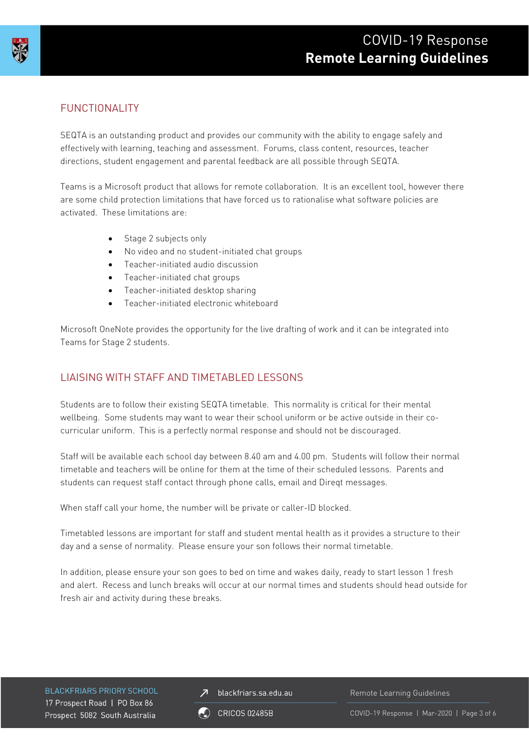# COVID-19 Response **Remote Learning Guidelines**



# FUNCTIONALITY

SEQTA is an outstanding product and provides our community with the ability to engage safely and effectively with learning, teaching and assessment. Forums, class content, resources, teacher directions, student engagement and parental feedback are all possible through SEQTA.

Teams is a Microsoft product that allows for remote collaboration. It is an excellent tool, however there are some child protection limitations that have forced us to rationalise what software policies are activated. These limitations are:

- Stage 2 subjects only
- No video and no student-initiated chat groups
- Teacher-initiated audio discussion
- Teacher-initiated chat groups
- Teacher-initiated desktop sharing
- Teacher-initiated electronic whiteboard

Microsoft OneNote provides the opportunity for the live drafting of work and it can be integrated into Teams for Stage 2 students.

# LIAISING WITH STAFF AND TIMETABLED LESSONS

Students are to follow their existing SEQTA timetable. This normality is critical for their mental wellbeing. Some students may want to wear their school uniform or be active outside in their cocurricular uniform. This is a perfectly normal response and should not be discouraged.

Staff will be available each school day between 8.40 am and 4.00 pm. Students will follow their normal timetable and teachers will be online for them at the time of their scheduled lessons. Parents and students can request staff contact through phone calls, email and Direqt messages.

When staff call your home, the number will be private or caller-ID blocked.

Timetabled lessons are important for staff and student mental health as it provides a structure to their day and a sense of normality. Please ensure your son follows their normal timetable.

In addition, please ensure your son goes to bed on time and wakes daily, ready to start lesson 1 fresh and alert. Recess and lunch breaks will occur at our normal times and students should head outside for fresh air and activity during these breaks.

**BLACKFRIARS PRIORY SCHOOL** 17 Prospect Road | PO Box 86 Prospect 5082 South Australia

 $\overline{\mathcal{A}}$  blackfriars.sa.edu.au

Remote Learning Guidelines

**CRICOS 02485B** 

COVID-19 Response | Mar-2020 | Page 3 of 6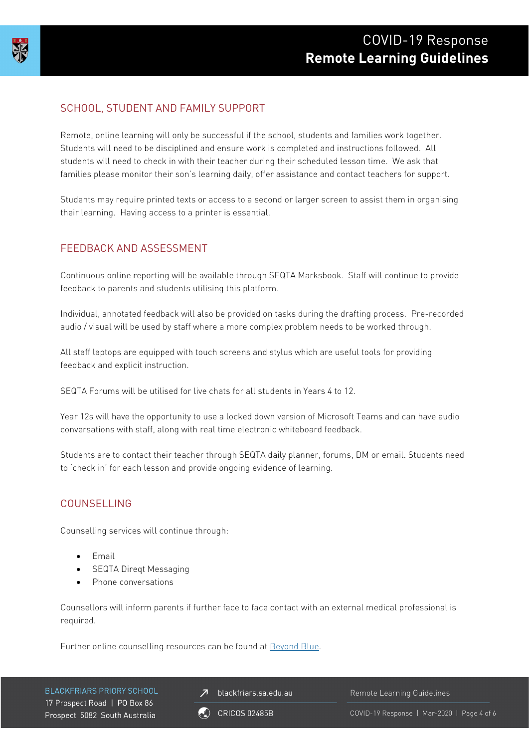

# SCHOOL, STUDENT AND FAMILY SUPPORT

Remote, online learning will only be successful if the school, students and families work together. Students will need to be disciplined and ensure work is completed and instructions followed. All students will need to check in with their teacher during their scheduled lesson time. We ask that families please monitor their son's learning daily, offer assistance and contact teachers for support.

Students may require printed texts or access to a second or larger screen to assist them in organising their learning. Having access to a printer is essential.

### FEEDBACK AND ASSESSMENT

Continuous online reporting will be available through SEQTA Marksbook. Staff will continue to provide feedback to parents and students utilising this platform.

Individual, annotated feedback will also be provided on tasks during the drafting process. Pre-recorded audio / visual will be used by staff where a more complex problem needs to be worked through.

All staff laptops are equipped with touch screens and stylus which are useful tools for providing feedback and explicit instruction.

SEQTA Forums will be utilised for live chats for all students in Years 4 to 12.

Year 12s will have the opportunity to use a locked down version of Microsoft Teams and can have audio conversations with staff, along with real time electronic whiteboard feedback.

Students are to contact their teacher through SEQTA daily planner, forums, DM or email. Students need to 'check in' for each lesson and provide ongoing evidence of learning.

#### COUNSELLING

Counselling services will continue through:

- Email
- SEQTA Direqt Messaging
- Phone conversations

Counsellors will inform parents if further face to face contact with an external medical professional is required.

Further online counselling resources can be found at **Beyond Blue**.

**BLACKFRIARS PRIORY SCHOOL** 17 Prospect Road | PO Box 86 Prospect 5082 South Australia

blackfriars.sa.edu.au

**CRICOS 02485B** 

Remote Learning Guidelines

COVID-19 Response | Mar-2020 | Page 4 of 6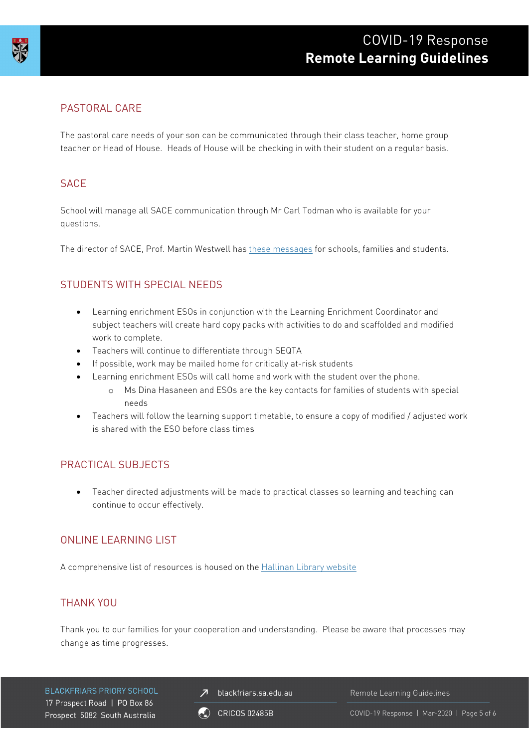

# PASTORAL CARE

The pastoral care needs of your son can be communicated through their class teacher, home group teacher or Head of House. Heads of House will be checking in with their student on a regular basis.

#### **SACE**

School will manage all SACE communication through Mr Carl Todman who is available for your questions.

The director of SACE, Prof. Martin Westwell has [these messages](https://comms.sace.sa.edu.au/pub/pubType/EO/pubID/zzzz5e72a315ab023241/?vid=txQcA2uX2Xc) for schools, families and students.

# STUDENTS WITH SPECIAL NEEDS

- Learning enrichment ESOs in conjunction with the Learning Enrichment Coordinator and subject teachers will create hard copy packs with activities to do and scaffolded and modified work to complete.
- Teachers will continue to differentiate through SEQTA
- If possible, work may be mailed home for critically at-risk students
- Learning enrichment ESOs will call home and work with the student over the phone.
	- o Ms Dina Hasaneen and ESOs are the key contacts for families of students with special needs
- Teachers will follow the learning support timetable, to ensure a copy of modified / adjusted work is shared with the ESO before class times

# PRACTICAL SUBJECTS

• Teacher directed adjustments will be made to practical classes so learning and teaching can continue to occur effectively.

# ONLINE LEARNING LIST

A comprehensive list of resources is housed on the [Hallinan Library website](https://library.blackfriars.sa.edu.au/)

# THANK YOU

Thank you to our families for your cooperation and understanding. Please be aware that processes may change as time progresses.

**BLACKFRIARS PRIORY SCHOOL** 17 Prospect Road | PO Box 86 Prospect 5082 South Australia

 $\overline{\mathcal{A}}$  blackfriars.sa.edu.au

Remote Learning Guidelines

 $\binom{2}{1}$  CRICOS 02485B

COVID-19 Response | Mar-2020 | Page 5 of 6